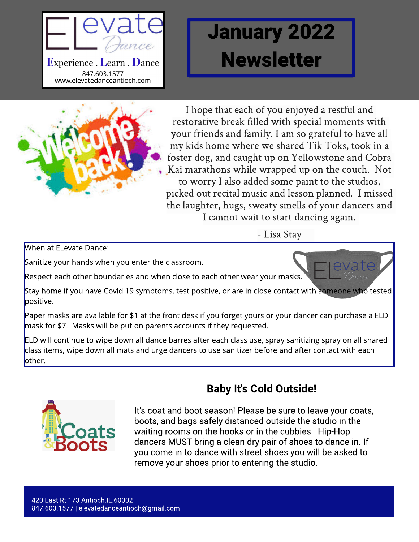

# January 2022 **Newsletter**



I hope that each of you enjoyed a restful and restorative break filled with special moments with your friends and family. I am so grateful to have all my kids home where we shared Tik Toks, took in a foster dog, and caught up on Yellowstoneand Cobra Kai marathons while wrapped up on the couch. Not to worry I also added some paint to the studios, picked out recital musicand lesson planned. I missed the laughter, hugs, sweaty smells of your dancers and I cannot wait to start dancing again.

- Lisa Stay

When at ELevate Dance:

Sanitize your hands when you enter the classroom.

Respect each other boundaries and when close to each other wear your masks.

Stay home if you have Covid 19 symptoms, test positive, or are in close contact with someone who tested positive.

Paper masks are available for \$1 at the front desk if you forget yours or your dancer can purchase a ELD mask for \$7. Masks will be put on parents accounts if they requested.

ELD will continue to wipe down all dance barres after each class use, spray sanitizing spray on all shared class items, wipe down all mats and urge dancers to use sanitizer before and after contact with each other.



### Baby It's Cold Outside!

It's coat and boot season! Please be sure to leave your coats, boots, and bags safely distanced outside the studio in the waiting rooms on the hooks or in the cubbies. Hip-Hop dancers MUST bring a clean dry pair of shoes to dance in. If you come in to dance with street shoes you will be asked to remove your shoes prior to entering the studio.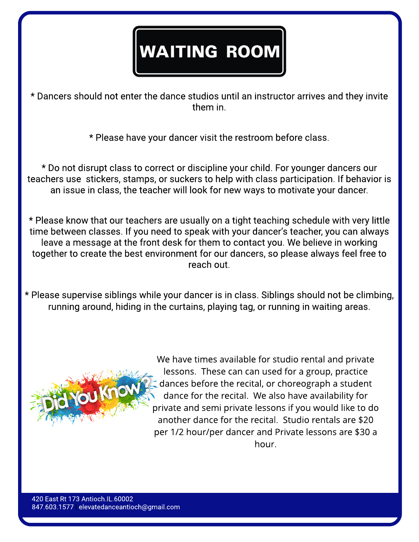## **WAITING ROOM**

\* Dancers should not enter the dance studios until an instructor arrives and they invite them in.

\* Please have your dancer visit the restroom before class.

\* Do not disrupt class to correct or discipline your child. For younger dancers our teachers use stickers, stamps, or suckers to help with class participation. If behavior is an issue in class, the teacher will look for new ways to motivate your dancer.

\* Please know that our teachers are usually on a tight teaching schedule with very little time between classes. If you need to speak with your dancer's teacher, you can always leave a message at the front desk for them to contact you. We believe in working together to create the best environment for our dancers, so please always feel free to reach out.

\* Please supervise siblings while your dancer is in class. Siblings should not be climbing, running around, hiding in the curtains, playing tag, or running in waiting areas.



We have times available for studio rental and private lessons. These can can used for a group, practice dances before the recital, or choreograph a student dance for the recital. We also have availability for private and semi private lessons if you would like to do another dance for the recital. Studio rentals are \$20 per 1/2 hour/per dancer and Private lessons are \$30 a hour.